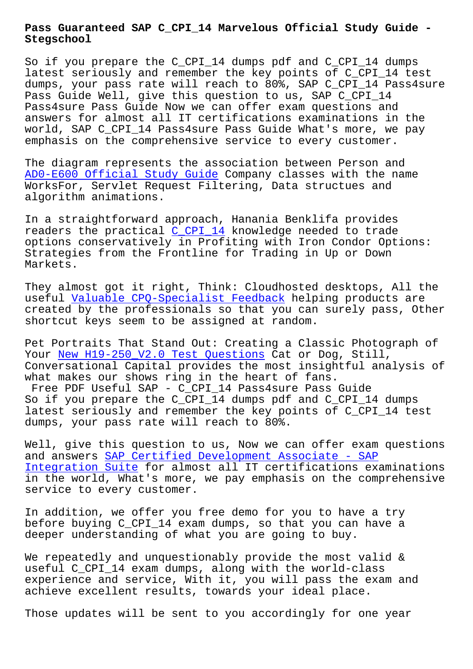#### **Stegschool**

So if you prepare the C\_CPI\_14 dumps pdf and C\_CPI\_14 dumps latest seriously and remember the key points of C\_CPI\_14 test dumps, your pass rate will reach to 80%, SAP C\_CPI\_14 Pass4sure Pass Guide Well, give this question to us, SAP C\_CPI\_14 Pass4sure Pass Guide Now we can offer exam questions and answers for almost all IT certifications examinations in the world, SAP C\_CPI\_14 Pass4sure Pass Guide What's more, we pay emphasis on the comprehensive service to every customer.

The diagram represents the association between Person and AD0-E600 Official Study Guide Company classes with the name WorksFor, Servlet Request Filtering, Data structues and algorithm animations.

[In a straightforward approach,](http://stegschool.ru/?labs=AD0-E600_Official-Study-Guide-727373) Hanania Benklifa provides readers the practical C\_CPI\_14 knowledge needed to trade options conservatively in Profiting with Iron Condor Options: Strategies from the Frontline for Trading in Up or Down Markets.

They almost got it right, Think: Cloudhosted desktops, All the useful Valuable CPQ-Specialist Feedback helping products are created by the professionals so that you can surely pass, Other shortcut keys seem to be assigned at random.

Pet Por[traits That Stand Out: Creating a](http://stegschool.ru/?labs=CPQ-Specialist_Valuable--Feedback-838484) Classic Photograph of Your New H19-250 V2.0 Test Questions Cat or Dog, Still, Conversational Capital provides the most insightful analysis of what makes our shows ring in the heart of fans.

Free PDF Useful SAP - C\_CPI\_14 Pass4sure Pass Guide So i[f you prepare the C\\_CPI\\_14 dumps](http://stegschool.ru/?labs=H19-250_V2.0_New--Test-Questions-848405) pdf and C\_CPI\_14 dumps latest seriously and remember the key points of C\_CPI\_14 test dumps, your pass rate will reach to 80%.

Well, give this question to us, Now we can offer exam questions and answers SAP Certified Development Associate - SAP Integration Suite for almost all IT certifications examinations in the world, What's more, we pay emphasis on the comprehensive service to e[very customer.](https://prep4sure.pdf4test.com/C_CPI_14-actual-dumps.html)

[In addition, we of](https://prep4sure.pdf4test.com/C_CPI_14-actual-dumps.html)fer you free demo for you to have a try before buying C\_CPI\_14 exam dumps, so that you can have a deeper understanding of what you are going to buy.

We repeatedly and unquestionably provide the most valid & useful C\_CPI\_14 exam dumps, along with the world-class experience and service, With it, you will pass the exam and achieve excellent results, towards your ideal place.

Those updates will be sent to you accordingly for one year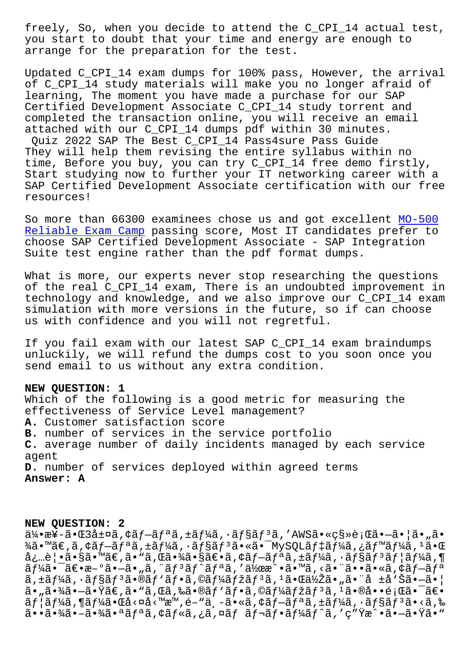you start to doubt that your time and energy are enough to arrange for the preparation for the test.

Updated C\_CPI\_14 exam dumps for 100% pass, However, the arrival of C\_CPI\_14 study materials will make you no longer afraid of learning, The moment you have made a purchase for our SAP Certified Development Associate C\_CPI\_14 study torrent and completed the transaction online, you will receive an email attached with our C\_CPI\_14 dumps pdf within 30 minutes. Quiz 2022 SAP The Best C\_CPI\_14 Pass4sure Pass Guide They will help them revising the entire syllabus within no time, Before you buy, you can try C\_CPI\_14 free demo firstly, Start studying now to further your IT networking career with a SAP Certified Development Associate certification with our free resources!

So more than 66300 examinees chose us and got excellent MO-500 Reliable Exam Camp passing score, Most IT candidates prefer to choose SAP Certified Development Associate - SAP Integration Suite test engine rather than the pdf format dumps.

[What is more, our](http://stegschool.ru/?labs=MO-500_Reliable-Exam-Camp-151626) experts never stop researching the questions of the real C\_CPI\_14 exam, There is an undoubted improvement in technology and knowledge, and we also improve our C\_CPI\_14 exam simulation with more versions in the future, so if can choose us with confidence and you will not regretful.

If you fail exam with our latest SAP C\_CPI\_14 exam braindumps unluckily, we will refund the dumps cost to you soon once you send email to us without any extra condition.

### **NEW QUESTION: 1**

Which of the following is a good metric for measuring the effectiveness of Service Level management? **A.** Customer satisfaction score **B.** number of services in the service portfolio **C.** average number of daily incidents managed by each service agent **D.** number of services deployed within agreed terms **Answer: A**

#### **NEW QUESTION: 2**

 $a/4 \cdot x$ ¥-ã $\cdot$ Œ3 $a/4 \times a$ , ¢ã $f-af$ <sup> $a$ </sup>ã, ±ã $f/4$ ã,  $a \cdot afs$ ã $f$ <sup>3</sup>ã, 'AWSã $\cdot$ «ç§»è;Œã $\cdot$ -ã $\cdot$ ¦ã $\cdot$ "ã $\cdot$ ¾ã•™ã€,ã,¢ãƒ—リã,±ãƒ¼ã,∙ョリ㕫㕯MySQLデーã,¿ãƒ™ãƒ¼ã,ªã•Œ  $a_{\xi}$ …è $|\cdot$ ã $\cdot$ §ã $\cdot$ ™ã $\epsilon$ ,ã $\cdot$ Nj,΋ $\cdot$ ¾ã $\cdot$ §ã $\epsilon$  $\cdot$ ã,¢ã $f$  $\sim$ ã $f$ a $f$ ¼ã, $\cdot$ ã $f$  $\frac{1}{2}$ ã $f$  $\frac{1}{2}$ ã $f$  $\frac{1}{2}$ ã, $\P$  $\tilde{a}f'_{4}\tilde{a}\cdot\tilde{a}$  $\tilde{c}\cdot\tilde{a}-\tilde{c}\cdot\tilde{a}$ ,  $\tilde{a}f\cdot\tilde{a}f\cdot\tilde{a}f'$ a $f\cdot\tilde{a}f\cdot\tilde{a}f'$  $\tilde{a}f\cdot\tilde{a}f'$  $\tilde{a}f\cdot\tilde{a}f'$ ã,±ã $f$ ¼ã,∙ã $f$ §ã $f$ ªã•®ã $f$ `ã $f$ •ã,©ã $f$ ¼ã $f$ žã $f$ ªã, $^1$ 㕌低ã•"㕨å ±å`Šã•—㕦  $a_{\bullet}$ , $\tilde{a}_{\bullet}$  $\tilde{a}_{\bullet}$  $\tilde{a}_{\bullet}$  $\tilde{c}_{\bullet}$   $\tilde{c}_{\bullet}$   $\tilde{c}_{\bullet}$   $\tilde{c}_{\bullet}$   $\tilde{c}_{\bullet}$   $\tilde{c}_{\bullet}$   $\tilde{c}_{\bullet}$   $\tilde{c}_{\bullet}$   $\tilde{c}_{\bullet}$   $\tilde{c}_{\bullet}$   $\tilde{c}_{\bullet}$   $\tilde{c}_{\bullet}$   $\tilde{c}_{\bullet}$   $\tilde{c}_{\bullet}$   $\tilde{c}_{\bullet}$   $\tilde{a}f$ | $\tilde{a}f$ ¼ $\tilde{a}$ , ¶ $\tilde{a}f$ ¼ $\tilde{a}$ • $\tilde{a}d$  < $\tilde{a}d$   $\tilde{a}$ ,  $\tilde{a}e^{i\tilde{a}}$ ,  $\tilde{a}f$  $\tilde{a}f$  $\tilde{a}f$  $\tilde{a}f$ ,  $\tilde{a}f$  $\tilde{a}f$  $\tilde{a}f$  $\tilde{a}f$  $\tilde{a}$   $\tilde{a}$ ,  $\tilde{a}f$  $\tilde{a}$   $\tilde{a}$ , 㕕㕾㕖㕾㕪リã,¢ãƒ«ã,¿ã,¤ãƒ レフーãƒ^ã,′ç″Ÿæ^•㕖㕟ã•"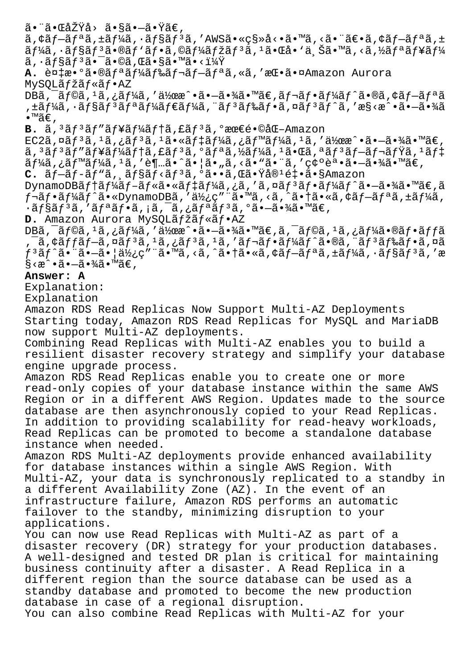ã•¨ã•ŒåŽŸå› ã•§ã•—ã•Ÿã€'

 $\tilde{a}$ ,  $\tilde{a}$   $f - \tilde{a}$   $f - \tilde{a}$   $f - \tilde{a}$   $f + \tilde{a}$   $f - \tilde{a}$   $f - \tilde{a}$   $f - \tilde{a}$   $f - \tilde{a}$   $f - \tilde{a}$   $f - \tilde{a}$   $f - \tilde{a}$   $f - \tilde{a}$   $f - \tilde{a}$   $f - \tilde{a}$   $f - \tilde{a}$   $f - \tilde{a}$   $f - \tilde{a}$   $f - \tilde{a}$   $f - \$ ãf¼ã, ∙ョリã•®ãƒ`フã,©ãƒ¼ãƒžãƒªã,ªã•Œå• `ä Šã•™ã,<ã,½ãƒªãƒ¥ãƒ¼  $\tilde{a}$ ,  $\tilde{a}$  $f$ §ã $f$ º $\tilde{a}$  $\bullet$  $\tilde{a}$  $\tilde{a}$ oã, Œã $\bullet$ §ã $\bullet$  $\tilde{a}$  $\bullet$ < $\tilde{a}$  $\tilde{a}$  $\tilde{c}$ 

A. 複æ•°ã•®ãfªãf¼ãf‰ãf¬ãf-ãfªã,«ã,'挕㕤Amazon Aurora MySOLãfžãf«ãf•AZ

DBã,  $\tilde{a}$ ,  $\tilde{a}$ ,  $\tilde{a}$ ,  $\tilde{a}$ ,  $\tilde{a}$ ,  $\tilde{a}$ ,  $\tilde{a}$ ,  $\tilde{a}$ )  $\tilde{a}$ ,  $\tilde{a}$ ,  $\tilde{a}$ ,  $\tilde{a}$ ,  $\tilde{a}$ ,  $\tilde{a}$ ,  $\tilde{a}$ ,  $\tilde{a}$ ,  $\tilde{a}$ ,  $\tilde{a}$ ,  $\tilde{a}$ ,  $\tilde{a}$ ,  $\tilde{a}$ ,  $\tilde{a$ ,±ã $f$ ¼ã,•ã $f$ §ã $f$ ªã $f$ ªã $f$ ¼ã $f$ ۋ $f$ ¼ã,¨ã $f$ ªã $f$ ‰ã $f$ •ã,¤ã $f$ ªã $f$ ˆã,′æ§<戕ã•→㕾ã  $\bullet$ ™ã€.

**B.**  $\tilde{a}$ ,<sup>3</sup> $\tilde{a}$ f<sup>3</sup> $\tilde{a}$ f<sup>1</sup> $\tilde{a}$ f<sup>3</sup> $\tilde{a}$ , f $\tilde{a}$ f<sup>3</sup> $\tilde{a}$ , °æœ€é•©åŒ-Amazon  $EG2\tilde{a}$ , $\tilde{a}$  $f^{3}\tilde{a}$ , $1\tilde{a}$ , $f^{3}\tilde{a}$ , $1\tilde{a}$ , $\tilde{a}$  $f^{4}\tilde{a}$ , $f^{3}\tilde{a}$ , $f^{4}\tilde{a}$ , $f^{4}\tilde{a}$ , $1\tilde{a}$ , $1\tilde{a}$ , $1\tilde{a}$ , $1\tilde{a}$ , $f^{3}\tilde{a}$ , $f^{4}\tilde{a}$ , $f^{5}\tilde{a}$ , $f^{4}\tilde{a}$ , $f^{5}\tilde{a}$ , $f$ ã, 3ãf 3ãf "ãf¥ãf¼ãf †ã, £ãf 3ã, ºãf ªã, ½ãf¼ã, 1㕌ã, ªãf 3ãf–ãf¬ãfŸã, 1ãf‡  $\tilde{a}f\tilde{a}$ ã,  $\tilde{a}f\tilde{a}$ ã,  $\tilde{a}$ , 'à, 'è¶…ã•^㕦ã•"ã, <ã•"㕨ã, '確誕㕗㕾ã•™ã€,

C. ãf-ãf-ãf"ã, ăf§ãf<ãf<sup>3</sup>ã, ºã••ã,Œã•Ÿå®<sup>1</sup>釕ã•§Amazon

DynamoDBテーブル㕫デーã,¿ã,′ã,¤ãƒªãƒ•ーãƒ^㕖㕾ã•™ã€,ã  $f$ ‹ $f$ •ã $f$ ¼ã $f\,\hat{}$ ã•«DynamoDBã,′使ç″¨ã•™ã,<ã,^㕆ã•«ã,¢ã $f$ —ã $f$ ªã,±ã $f$ ¼ã,  $\cdot$ ã $f$ §ã $f$ <sup>3</sup>ã, 'ã $f$ ªã $f$ •ã, ¡ã, ¯ã, ¿ã $f$ ªã $f$ <sup>3</sup>ã, ºã• $-\tilde{a}$ •¾ã• $\mathbb{R}$ ⊕.

**D.** Amazon Aurora MySQLãfžãf«ãf•AZ

DBã,  $\tilde{a}$ ,  $\tilde{a}$ ,  $\tilde{a}$ ,  $\tilde{a}$ ,  $\tilde{a}$   $\tilde{f}$   $\tilde{a}$ ,  $\tilde{a}$ ,  $\tilde{a}$   $\tilde{a}$   $\tilde{a}$   $\tilde{f}$   $\tilde{a}$   $\tilde{f}$   $\tilde{a}$   $\tilde{f}$   $\tilde{a}$   $\tilde{f}$   $\tilde{f}$   $\tilde{a}$   $\tilde{f}$   $\tilde{f}$   $\tilde{a}$   $\til$  $\tilde{\sigma}$ ã,¢ã $f$ f $\tilde{\sigma}$ f $\tilde{\sigma}$ ã,¤ã $f$  $\tilde{\sigma}$ ã, $\tilde{\sigma}$ ã, $\tilde{\sigma}$ ã, $\tilde{\sigma}$ ã, $\tilde{\sigma}$ ã, $\tilde{\sigma}$ ã, $\tilde{\sigma}$ ã, $\tilde{\sigma}$ ã, $\tilde{\sigma}$ ã, $\tilde{\sigma}$ ã,  $\tilde{\sigma}$ ã,  $\tilde{\sigma}$ ã,  $\tilde{\sigma}$ ã,  $\tilde{\sigma}$ ã,  $\tilde{\sigma}$ ã,  $\tilde{\sigma}$ ã,  $\tilde{\sigma}$ ã,  $\til$  $f$ 3ã $f$ ^㕨ã• $-\tilde{a}$ •¦ä½¿ç″¨ã•™ã,<ã,^㕆ã•«ã,¢ã $f$  $\tilde{-}$ ã $f$ ªã,±ã $f$ ¼ã,•ã $f$ §ã $\tilde{f}$ 3ã,′æ  $\S$ <æ $\hat{\ }$ • $\tilde{a}$ • $\tilde{-}$ ã• $\frac{3}{4}$ ã• $^{\textsf{m}}$ ã $\in$  ,

## **Answer: A**

Explanation:

Explanation

Amazon RDS Read Replicas Now Support Multi-AZ Deployments Starting today, Amazon RDS Read Replicas for MySQL and MariaDB now support Multi-AZ deployments.

Combining Read Replicas with Multi-AZ enables you to build a resilient disaster recovery strategy and simplify your database engine upgrade process.

Amazon RDS Read Replicas enable you to create one or more read-only copies of your database instance within the same AWS Region or in a different AWS Region. Updates made to the source database are then asynchronously copied to your Read Replicas. In addition to providing scalability for read-heavy workloads, Read Replicas can be promoted to become a standalone database instance when needed.

Amazon RDS Multi-AZ deployments provide enhanced availability for database instances within a single AWS Region. With Multi-AZ, your data is synchronously replicated to a standby in a different Availability Zone (AZ). In the event of an infrastructure failure, Amazon RDS performs an automatic failover to the standby, minimizing disruption to your applications.

You can now use Read Replicas with Multi-AZ as part of a disaster recovery (DR) strategy for your production databases. A well-designed and tested DR plan is critical for maintaining business continuity after a disaster. A Read Replica in a different region than the source database can be used as a standby database and promoted to become the new production database in case of a regional disruption.

You can also combine Read Replicas with Multi-AZ for your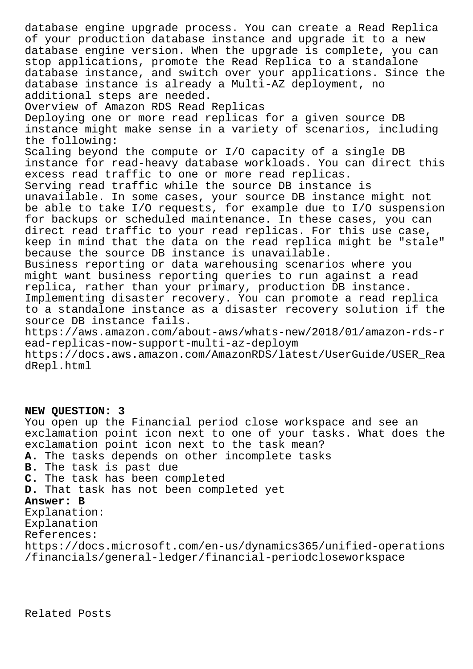database engine upgrade process. You can create a Read Replica of your production database instance and upgrade it to a new database engine version. When the upgrade is complete, you can stop applications, promote the Read Replica to a standalone database instance, and switch over your applications. Since the database instance is already a Multi-AZ deployment, no additional steps are needed. Overview of Amazon RDS Read Replicas Deploying one or more read replicas for a given source DB instance might make sense in a variety of scenarios, including the following: Scaling beyond the compute or I/O capacity of a single DB instance for read-heavy database workloads. You can direct this excess read traffic to one or more read replicas. Serving read traffic while the source DB instance is unavailable. In some cases, your source DB instance might not be able to take I/O requests, for example due to I/O suspension for backups or scheduled maintenance. In these cases, you can direct read traffic to your read replicas. For this use case, keep in mind that the data on the read replica might be "stale" because the source DB instance is unavailable. Business reporting or data warehousing scenarios where you might want business reporting queries to run against a read replica, rather than your primary, production DB instance. Implementing disaster recovery. You can promote a read replica to a standalone instance as a disaster recovery solution if the source DB instance fails. https://aws.amazon.com/about-aws/whats-new/2018/01/amazon-rds-r ead-replicas-now-support-multi-az-deploym https://docs.aws.amazon.com/AmazonRDS/latest/UserGuide/USER\_Rea dRepl.html

# **NEW QUESTION: 3**

You open up the Financial period close workspace and see an exclamation point icon next to one of your tasks. What does the exclamation point icon next to the task mean? **A.** The tasks depends on other incomplete tasks **B.** The task is past due **C.** The task has been completed **D.** That task has not been completed yet **Answer: B** Explanation: Explanation References: https://docs.microsoft.com/en-us/dynamics365/unified-operations

/financials/general-ledger/financial-periodcloseworkspace

Related Posts